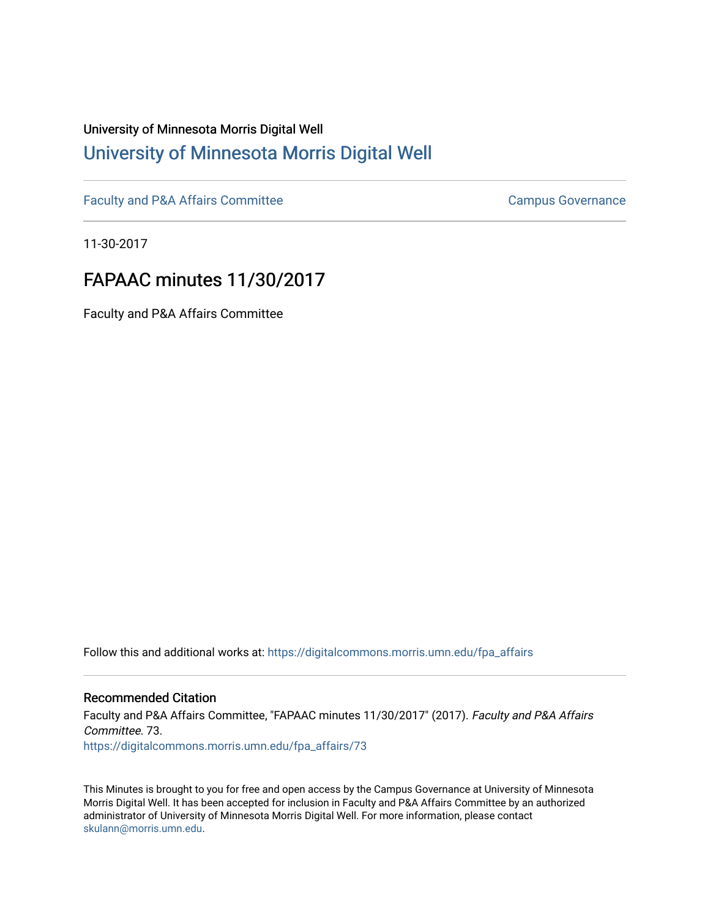## University of Minnesota Morris Digital Well [University of Minnesota Morris Digital Well](https://digitalcommons.morris.umn.edu/)

[Faculty and P&A Affairs Committee](https://digitalcommons.morris.umn.edu/fpa_affairs) [Campus Governance](https://digitalcommons.morris.umn.edu/campgov) Campus Governance

11-30-2017

# FAPAAC minutes 11/30/2017

Faculty and P&A Affairs Committee

Follow this and additional works at: [https://digitalcommons.morris.umn.edu/fpa\\_affairs](https://digitalcommons.morris.umn.edu/fpa_affairs?utm_source=digitalcommons.morris.umn.edu%2Ffpa_affairs%2F73&utm_medium=PDF&utm_campaign=PDFCoverPages)

## Recommended Citation

Faculty and P&A Affairs Committee, "FAPAAC minutes 11/30/2017" (2017). Faculty and P&A Affairs Committee. 73. [https://digitalcommons.morris.umn.edu/fpa\\_affairs/73](https://digitalcommons.morris.umn.edu/fpa_affairs/73?utm_source=digitalcommons.morris.umn.edu%2Ffpa_affairs%2F73&utm_medium=PDF&utm_campaign=PDFCoverPages) 

This Minutes is brought to you for free and open access by the Campus Governance at University of Minnesota Morris Digital Well. It has been accepted for inclusion in Faculty and P&A Affairs Committee by an authorized administrator of University of Minnesota Morris Digital Well. For more information, please contact [skulann@morris.umn.edu.](mailto:skulann@morris.umn.edu)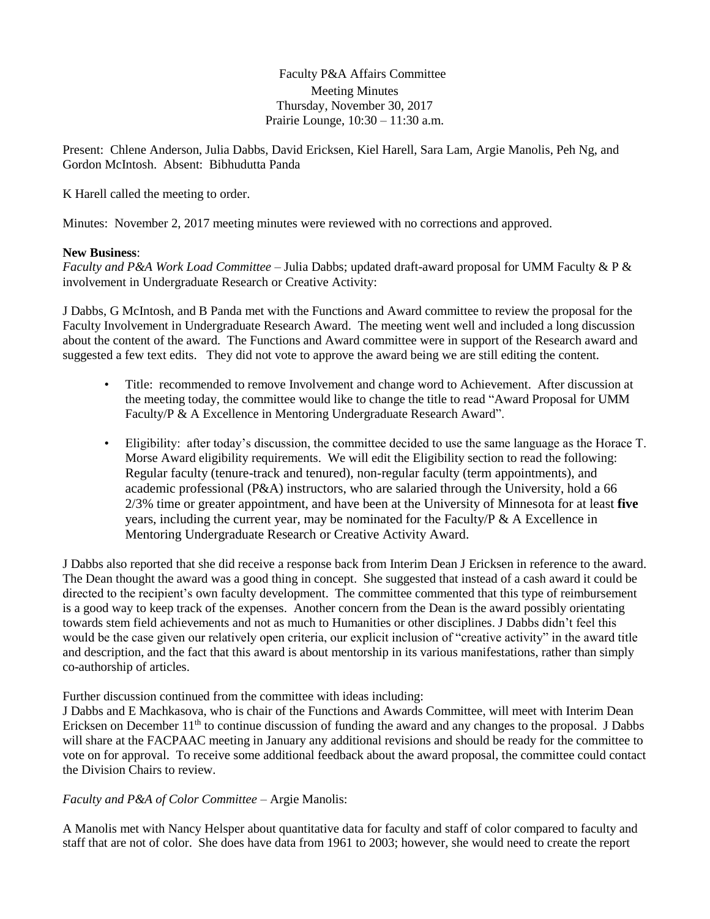Faculty P&A Affairs Committee Meeting Minutes Thursday, November 30, 2017 Prairie Lounge, 10:30 – 11:30 a.m.

Present: Chlene Anderson, Julia Dabbs, David Ericksen, Kiel Harell, Sara Lam, Argie Manolis, Peh Ng, and Gordon McIntosh. Absent: Bibhudutta Panda

K Harell called the meeting to order.

Minutes: November 2, 2017 meeting minutes were reviewed with no corrections and approved.

### **New Business**:

*Faculty and P&A Work Load Committee* – Julia Dabbs; updated draft-award proposal for UMM Faculty & P & involvement in Undergraduate Research or Creative Activity:

J Dabbs, G McIntosh, and B Panda met with the Functions and Award committee to review the proposal for the Faculty Involvement in Undergraduate Research Award. The meeting went well and included a long discussion about the content of the award. The Functions and Award committee were in support of the Research award and suggested a few text edits. They did not vote to approve the award being we are still editing the content.

- Title: recommended to remove Involvement and change word to Achievement. After discussion at the meeting today, the committee would like to change the title to read "Award Proposal for UMM Faculty/P & A Excellence in Mentoring Undergraduate Research Award".
- Eligibility: after today's discussion, the committee decided to use the same language as the Horace T. Morse Award eligibility requirements. We will edit the Eligibility section to read the following: Regular faculty (tenure-track and tenured), non-regular faculty (term appointments), and academic professional (P&A) instructors, who are salaried through the University, hold a 66 2/3% time or greater appointment, and have been at the University of Minnesota for at least **five** years, including the current year, may be nominated for the Faculty/P  $\&$  A Excellence in Mentoring Undergraduate Research or Creative Activity Award.

J Dabbs also reported that she did receive a response back from Interim Dean J Ericksen in reference to the award. The Dean thought the award was a good thing in concept. She suggested that instead of a cash award it could be directed to the recipient's own faculty development. The committee commented that this type of reimbursement is a good way to keep track of the expenses. Another concern from the Dean is the award possibly orientating towards stem field achievements and not as much to Humanities or other disciplines. J Dabbs didn't feel this would be the case given our relatively open criteria, our explicit inclusion of "creative activity" in the award title and description, and the fact that this award is about mentorship in its various manifestations, rather than simply co-authorship of articles.

Further discussion continued from the committee with ideas including:

J Dabbs and E Machkasova, who is chair of the Functions and Awards Committee, will meet with Interim Dean Ericksen on December 11<sup>th</sup> to continue discussion of funding the award and any changes to the proposal. J Dabbs will share at the FACPAAC meeting in January any additional revisions and should be ready for the committee to vote on for approval. To receive some additional feedback about the award proposal, the committee could contact the Division Chairs to review.

*Faculty and P&A of Color Committee* – Argie Manolis:

A Manolis met with Nancy Helsper about quantitative data for faculty and staff of color compared to faculty and staff that are not of color. She does have data from 1961 to 2003; however, she would need to create the report